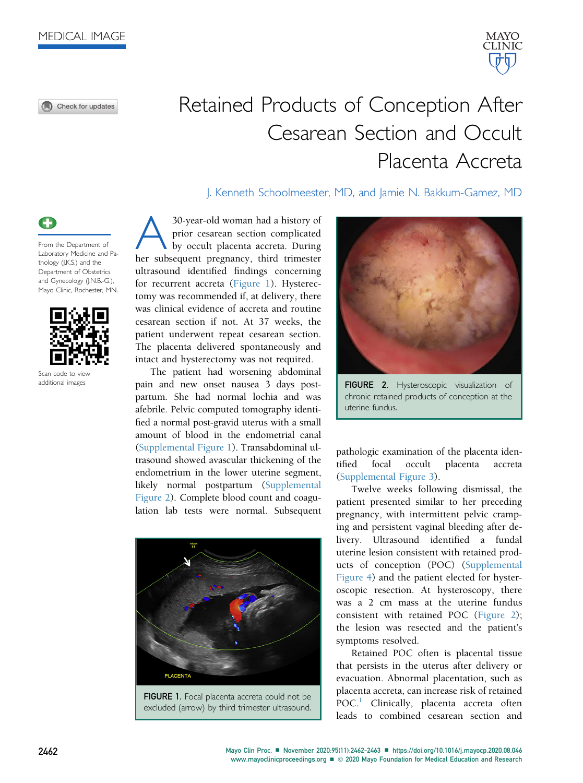Check for updates

# Retained Products of Conception After Cesarean Section and Occult Placenta Accreta

J. Kenneth Schoolmeester, MD, and Jamie N. Bakkum-Gamez, MD

From the Department of Laboratory Medicine and Pathology (J.K.S.) and the Department of Obstetrics and Gynecology (J.N.B.-G.), Mayo Clinic, Rochester, MN.



Scan code to view additional images

30-year-old woman had a history of<br>prior cesarean section complicated<br>by occult placenta accreta. During<br>her subsequent pregnancy third trimester prior cesarean section complicated by occult placenta accreta. During her subsequent pregnancy, third trimester ultrasound identified findings concerning for recurrent accreta ([Figure 1](#page-0-0)). Hysterectomy was recommended if, at delivery, there was clinical evidence of accreta and routine cesarean section if not. At 37 weeks, the patient underwent repeat cesarean section. The placenta delivered spontaneously and intact and hysterectomy was not required.

The patient had worsening abdominal pain and new onset nausea 3 days postpartum. She had normal lochia and was afebrile. Pelvic computed tomography identified a normal post-gravid uterus with a small amount of blood in the endometrial canal (Supplemental Figure 1). Transabdominal ultrasound showed avascular thickening of the endometrium in the lower uterine segment, likely normal postpartum (Supplemental Figure 2). Complete blood count and coagulation lab tests were normal. Subsequent

<span id="page-0-0"></span>

FIGURE 1. Focal placenta accreta could not be excluded (arrow) by third trimester ultrasound.

<span id="page-0-1"></span>

MAYO **CLINIC** 

FIGURE 2. Hysteroscopic visualization of chronic retained products of conception at the uterine fundus.

pathologic examination of the placenta identified focal occult placenta accreta (Supplemental Figure 3).

Twelve weeks following dismissal, the patient presented similar to her preceding pregnancy, with intermittent pelvic cramping and persistent vaginal bleeding after delivery. Ultrasound identified a fundal uterine lesion consistent with retained products of conception (POC) (Supplemental Figure 4) and the patient elected for hysteroscopic resection. At hysteroscopy, there was a 2 cm mass at the uterine fundus consistent with retained POC [\(Figure 2\)](#page-0-1); the lesion was resected and the patient's symptoms resolved.

Retained POC often is placental tissue that persists in the uterus after delivery or evacuation. Abnormal placentation, such as placenta accreta, can increase risk of retained POC.<sup>[1](#page-1-0)</sup> Clinically, placenta accreta often leads to combined cesarean section and